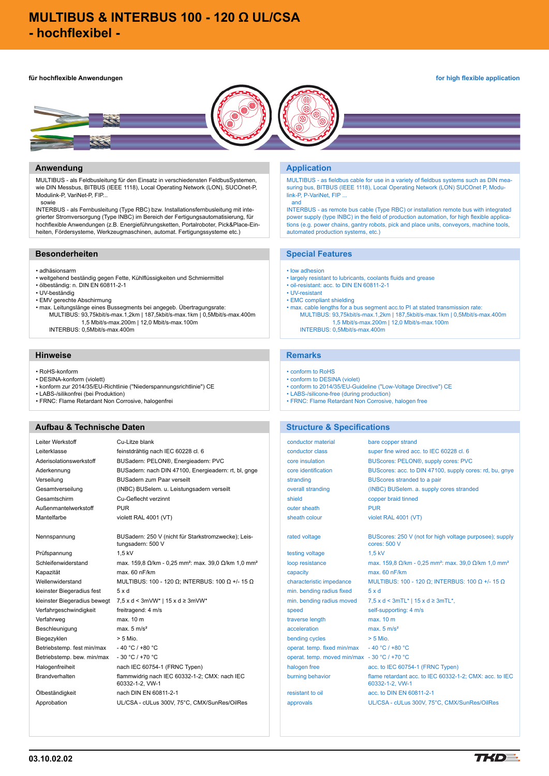# **MULTIBUS & INTERBUS 100 - 120 Ω UL/CSA - hochflexibel -**

### **für hochflexible Anwendungen for high flexible application**



## **Anwendung Application**

MULTIBUS - als Feldbusleitung für den Einsatz in verschiedensten FeldbusSystemen, wie DIN Messbus, BITBUS (IEEE 1118), Local Operating Network (LON), SUCOnet-P, Modulink-P, VariNet-P, FIP...

sowie

INTERBUS - als Fernbusleitung (Type RBC) bzw. Installationsfernbusleitung mit integrierter Stromversorgung (Type INBC) im Bereich der Fertigungsautomatisierung, für hochflexible Anwendungen (z.B. Energieführungsketten, Portalroboter, Pick&Place-Einheiten, Fördersysteme, Werkzeugmaschinen, automat. Fertigungssysteme etc.)

- adhäsionsarm
- weitgehend beständig gegen Fette, Kühlflüssigkeiten und Schmiermittel
- ölbeständig: n. DIN EN 60811-2-1
- UV-beständig
- EMV gerechte Abschirmung
- max. Leitungslänge eines Bussegments bei angegeb. Übertragungsrate: MULTIBUS: 93,75kbit/s-max.1,2km | 187,5kbit/s-max.1km | 0,5Mbit/s-max.400m 1,5 Mbit/s-max.200m | 12,0 Mbit/s-max.100m INTERBUS: 0,5Mbit/s-max.400m

- RoHS-konform
- DESINA-konform (violett)
- konform zur 2014/35/EU-Richtlinie (''Niederspannungsrichtlinie'') CE
- LABS-/silikonfrei (bei Produktion)
- FRNC: Flame Retardant Non Corrosive, halogenfrei

### **Aufbau & Technische Daten Structure & Specifications**

| Leiter Werkstoff             | Cu-Litze blank                                                              | conductor material                           | bare copper strand                                                          |  |  |
|------------------------------|-----------------------------------------------------------------------------|----------------------------------------------|-----------------------------------------------------------------------------|--|--|
| Leiterklasse                 | feinstdrähtig nach IEC 60228 cl. 6                                          | conductor class                              | super fine wired acc. to IEC 60228 cl. 6                                    |  |  |
| Aderisolationswerkstoff      | BUSadern: PELON®, Energieadern: PVC                                         | core insulation                              | BUScores: PELON®, supply cores: PVC                                         |  |  |
| Aderkennung                  | BUSadern: nach DIN 47100, Energieadern: rt, bl, gnge                        | core identification                          | BUScores: acc. to DIN 47100, supply cores: rd, bu, gnye                     |  |  |
| Verseilung                   | <b>BUSadern zum Paar verseilt</b>                                           | stranding                                    | <b>BUScores stranded to a pair</b>                                          |  |  |
| Gesamtverseilung             | (INBC) BUSelem. u. Leistungsadern verseilt                                  | overall stranding                            | (INBC) BUSelem. a. supply cores stranded                                    |  |  |
| Gesamtschirm                 | Cu-Geflecht verzinnt                                                        | shield                                       | copper braid tinned                                                         |  |  |
| Außenmantelwerkstoff         | <b>PUR</b>                                                                  | outer sheath                                 | <b>PUR</b>                                                                  |  |  |
| Mantelfarbe                  | violett RAL 4001 (VT)                                                       | sheath colour                                | violet RAL 4001 (VT)                                                        |  |  |
| Nennspannung                 | BUSadern: 250 V (nicht für Starkstromzwecke); Leis-<br>tungsadern: 500 V    | rated voltage                                | BUScores: 250 V (not for high voltage purposee); supply<br>cores: 500 V     |  |  |
| Prüfspannung                 | $1.5$ kV                                                                    | testing voltage                              | 1,5 kV                                                                      |  |  |
| Schleifenwiderstand          | max. 159,8 Ω/km - 0,25 mm <sup>2</sup> : max. 39,0 Ω/km 1,0 mm <sup>2</sup> | loop resistance                              | max. 159,8 Ω/km - 0,25 mm <sup>2</sup> : max. 39,0 Ω/km 1,0 mm <sup>2</sup> |  |  |
| Kapazität                    | max. 60 nF/km                                                               | capacity                                     | max. 60 nF/km                                                               |  |  |
| Wellenwiderstand             | MULTIBUS: 100 - 120 $\Omega$ ; INTERBUS: 100 $\Omega$ +/- 15 $\Omega$       | characteristic impedance                     | MULTIBUS: 100 - 120 $\Omega$ ; INTERBUS: 100 $\Omega$ +/- 15 $\Omega$       |  |  |
| kleinster Biegeradius fest   | 5xd                                                                         | min. bending radius fixed                    | 5xd                                                                         |  |  |
| kleinster Biegeradius bewegt | 7,5 x d < 3mVW*   15 x d ≥ 3mVW*                                            | min. bending radius moved                    | 7,5 x d < 3mTL*   15 x d ≥ 3mTL*,                                           |  |  |
| Verfahrgeschwindigkeit       | freitragend: 4 m/s                                                          | speed                                        | self-supporting: 4 m/s                                                      |  |  |
| Verfahrweg                   | max. 10 m                                                                   | traverse length                              | max. 10 m                                                                   |  |  |
| Beschleunigung               | max. $5 \text{ m/s}^2$                                                      | acceleration                                 | max. $5 \text{ m/s}^2$                                                      |  |  |
| Biegezyklen                  | $> 5$ Mio.                                                                  | bending cycles                               | $> 5$ Mio.                                                                  |  |  |
| Betriebstemp. fest min/max   | $-40 °C / +80 °C$                                                           | operat. temp. fixed min/max                  | $-40 °C / +80 °C$                                                           |  |  |
| Betriebstemp. bew. min/max   | $-30 °C / +70 °C$                                                           | operat. temp. moved min/max - 30 °C / +70 °C |                                                                             |  |  |
| Halogenfreiheit              | nach IEC 60754-1 (FRNC Typen)                                               | halogen free                                 | acc. to IEC 60754-1 (FRNC Typen)                                            |  |  |
| <b>Brandverhalten</b>        | flammwidrig nach IEC 60332-1-2; CMX: nach IEC<br>60332-1-2, VW-1            | burning behavior                             | flame retardant acc. to IEC 60332-1-2; CMX: acc. to IEC<br>60332-1-2, VW-1  |  |  |
| Ölbeständigkeit              | nach DIN EN 60811-2-1                                                       | resistant to oil                             | acc. to DIN EN 60811-2-1                                                    |  |  |
| Approbation                  | UL/CSA - cULus 300V, 75°C, CMX/SunRes/OilRes                                | approvals                                    | UL/CSA - cULus 300V, 75°C, CMX/SunRes/OilRes                                |  |  |

MULTIBUS - as fieldbus cable for use in a variety of fieldbus systems such as DIN measuring bus, BITBUS (IEEE 1118), Local Operating Network (LON) SUCOnet P, Modulink-P, P-VariNet, FIP and

INTERBUS - as remote bus cable (Type RBC) or installation remote bus with integrated power supply (type INBC) in the field of production automation, for high flexible applications (e.g. power chains, gantry robots, pick and place units, conveyors, machine tools, automated production systems, etc.)

## **Besonderheiten Special Features**

- low adhesion
- largely resistant to lubricants, coolants fluids and grease
- oil-resistant: acc. to DIN EN 60811-2-1
- UV-resistant
- EMC compliant shielding
- max. cable lengths for a bus segment acc.to PI at stated transmission rate: MULTIBUS: 93,75kbit/s-max.1,2km | 187,5kbit/s-max.1km | 0,5Mbit/s-max.400m 1,5 Mbit/s-max.200m | 12,0 Mbit/s-max.100m INTERBUS: 0,5Mbit/s-max.400m

### **Hinweise Remarks**

- conform to RoHS
- conform to DESINA (violet)
- conform to 2014/35/EU-Guideline ("Low-Voltage Directive") CE
- LABS-/silicone-free (during production)
- FRNC: Flame Retardant Non Corrosive, halogen free

| conductor material                           | bare copper strand                                                          |
|----------------------------------------------|-----------------------------------------------------------------------------|
| conductor class                              | super fine wired acc. to IEC 60228 cl. 6                                    |
| core insulation                              | BUScores: PELON®, supply cores: PVC                                         |
| core identification                          | BUScores: acc. to DIN 47100, supply cores: rd, bu, gnye                     |
| stranding                                    | <b>BUScores stranded to a pair</b>                                          |
| overall stranding                            | (INBC) BUSelem. a. supply cores stranded                                    |
| shield                                       | copper braid tinned                                                         |
| outer sheath                                 | <b>PUR</b>                                                                  |
| sheath colour                                | violet RAL 4001 (VT)                                                        |
|                                              |                                                                             |
| rated voltage                                | BUScores: 250 V (not for high voltage purposee); supply<br>cores: 500 V     |
| testing voltage                              | $1.5$ kV                                                                    |
| loop resistance                              | max. 159,8 Ω/km - 0,25 mm <sup>2</sup> : max. 39,0 Ω/km 1,0 mm <sup>2</sup> |
| capacity                                     | max. 60 nF/km                                                               |
| characteristic impedance                     | MULTIBUS: 100 - 120 $\Omega$ ; INTERBUS: 100 $\Omega$ +/- 15 $\Omega$       |
| min. bending radius fixed                    | $5 \times d$                                                                |
| min. bending radius moved                    | $7.5 \times d < 3mTL^*$   15 x d $\ge 3mTL^*$ ,                             |
| speed                                        | self-supporting: 4 m/s                                                      |
| traverse length                              | max. 10 m                                                                   |
| acceleration                                 | max. $5 \text{ m/s}^2$                                                      |
| bending cycles                               | $> 5$ Mio.                                                                  |
| operat, temp, fixed min/max                  | $-40 °C / +80 °C$                                                           |
| operat. temp. moved min/max - 30 °C / +70 °C |                                                                             |
| halogen free                                 | acc. to IEC 60754-1 (FRNC Typen)                                            |
| burning behavior                             | flame retardant acc. to IEC 60332-1-2; CMX: acc. to IEC<br>60332-1-2, VW-1  |
| resistant to oil                             | acc. to DIN EN 60811-2-1                                                    |
| approvals                                    | UL/CSA - cULus 300V, 75°C, CMX/SunRes/OilRes                                |
|                                              |                                                                             |